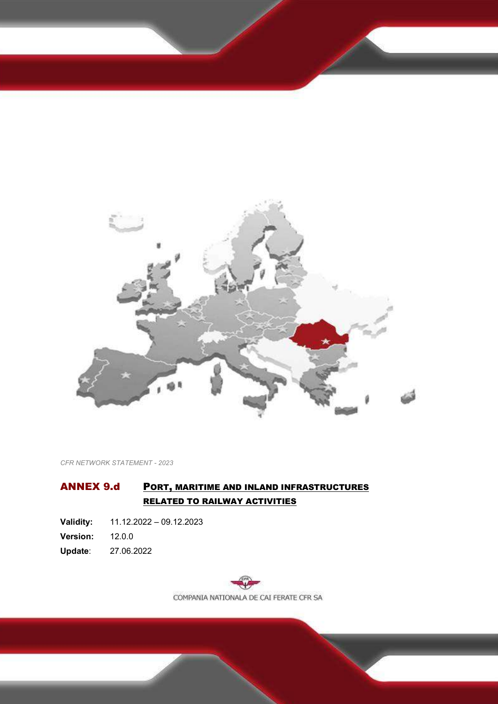

*CFR NETWORK STATEMENT - 2023*

## <span id="page-0-0"></span>ANNEX 9.d PORT, MARITIME AND INLAND INFRASTRUCTURES RELATED TO RAILWAY ACTIVITIES

**Validity:** 11.12.2022 – 09.12.2023 **Version:** 12.0.0

<span id="page-0-2"></span><span id="page-0-1"></span>**Update**: 27.06.2022

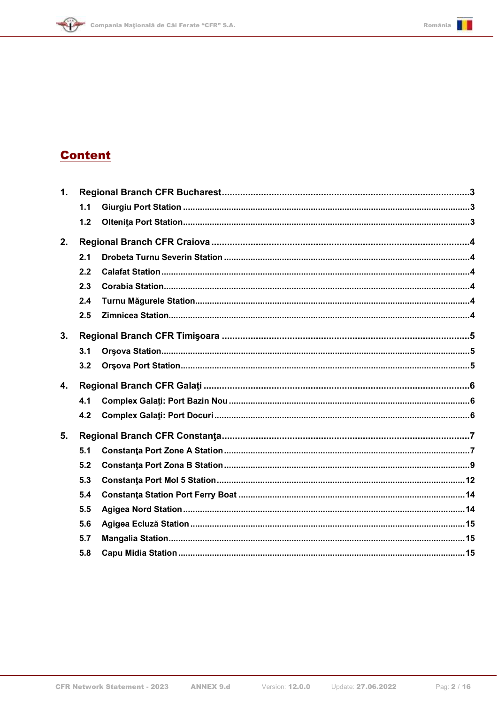



# **Content**

| 1. |     |  |  |  |  |  |  |  |
|----|-----|--|--|--|--|--|--|--|
|    | 1.1 |  |  |  |  |  |  |  |
|    | 1.2 |  |  |  |  |  |  |  |
| 2. |     |  |  |  |  |  |  |  |
|    | 2.1 |  |  |  |  |  |  |  |
|    | 2.2 |  |  |  |  |  |  |  |
|    | 2.3 |  |  |  |  |  |  |  |
|    | 2.4 |  |  |  |  |  |  |  |
|    | 2.5 |  |  |  |  |  |  |  |
| 3. |     |  |  |  |  |  |  |  |
|    | 3.1 |  |  |  |  |  |  |  |
|    | 3.2 |  |  |  |  |  |  |  |
| 4. |     |  |  |  |  |  |  |  |
|    | 4.1 |  |  |  |  |  |  |  |
|    | 4.2 |  |  |  |  |  |  |  |
| 5. |     |  |  |  |  |  |  |  |
|    | 5.1 |  |  |  |  |  |  |  |
|    | 5.2 |  |  |  |  |  |  |  |
|    | 5.3 |  |  |  |  |  |  |  |
|    | 5.4 |  |  |  |  |  |  |  |
|    | 5.5 |  |  |  |  |  |  |  |
|    | 5.6 |  |  |  |  |  |  |  |
|    | 5.7 |  |  |  |  |  |  |  |
|    | 5.8 |  |  |  |  |  |  |  |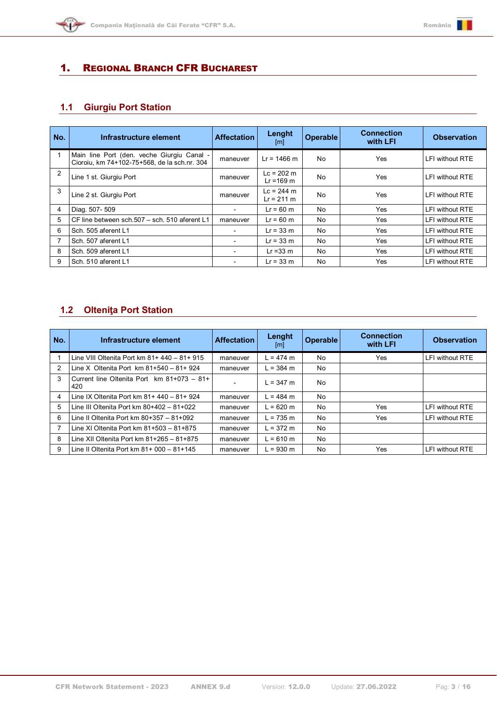

## <span id="page-2-0"></span>1. REGIONAL BRANCH CFR BUCHAREST

## <span id="page-2-1"></span>**1.1 Giurgiu Port Station**

| No.            | Infrastructure element                                                                     | <b>Affectation</b> | Lenght<br>[m]                        | <b>Operable</b> | <b>Connection</b><br>with LFI | <b>Observation</b> |
|----------------|--------------------------------------------------------------------------------------------|--------------------|--------------------------------------|-----------------|-------------------------------|--------------------|
|                | Main line Port (den. veche Giurgiu Canal -<br>Cioroiu, km 74+102-75+568, de la sch.nr. 304 | maneuver           | $Lr = 1466$ m                        | N <sub>0</sub>  | Yes                           | LFI without RTE    |
| $\overline{2}$ | Line 1 st. Giurgiu Port                                                                    | maneuver           | $Lc = 202 m$<br>$Lr = 169$ m         | N <sub>0</sub>  | Yes                           | LFI without RTE    |
| 3              | Line 2 st. Giurgiu Port                                                                    | maneuver           | $Lc = 244 m$<br>$Lr = 211 \text{ m}$ | N <sub>0</sub>  | Yes                           | LFI without RTE    |
| 4              | Diag. 507-509                                                                              |                    | $Lr = 60$ m                          | <b>No</b>       | Yes                           | LFI without RTE    |
| 5              | CF line between sch. 507 - sch. 510 aferent L1                                             | maneuver           | $Lr = 60$ m                          | <b>No</b>       | Yes                           | LFI without RTE    |
| 6              | Sch. 505 aferent L1                                                                        |                    | $Lr = 33 m$                          | No              | Yes                           | LFI without RTE    |
|                | Sch. 507 aferent L1                                                                        |                    | $Lr = 33$ m                          | No              | Yes                           | LFI without RTE    |
| 8              | Sch. 509 aferent L1                                                                        |                    | $Lr = 33$ m                          | N <sub>0</sub>  | Yes                           | LFI without RTE    |
| 9              | Sch. 510 aferent L1                                                                        |                    | $Lr = 33$ m                          | No              | Yes                           | LFI without RTE    |

## <span id="page-2-2"></span>**1.2 Olteniţa Port Station**

| No. | Infrastructure element                              | <b>Affectation</b> | Lenght<br>[m] | Operable       | <b>Connection</b><br>with LFI | <b>Observation</b> |
|-----|-----------------------------------------------------|--------------------|---------------|----------------|-------------------------------|--------------------|
|     | Line VIII Oltenita Port km $81+440-81+915$          | maneuver           | $L = 474$ m   | N <sub>0</sub> | <b>Yes</b>                    | LFI without RTE    |
| 2   | Line X Oltenita Port km $81+540 - 81+924$           | maneuver           | $L = 384$ m   | No             |                               |                    |
| 3   | Current line Oltenita Port km $81+073 - 81+$<br>420 |                    | $L = 347$ m   | N <sub>0</sub> |                               |                    |
| 4   | Line IX Oltenita Port km 81+ 440 - 81+ 924          | maneuver           | $L = 484$ m   | N <sub>0</sub> |                               |                    |
| 5   | Line III Oltenita Port km $80+402-81+022$           | maneuver           | $L = 620$ m   | No.            | Yes                           | LFI without RTE    |
| 6   | Line II Oltenita Port km $80+357 - 81+092$          | maneuver           | $L = 735$ m   | No.            | Yes                           | LFI without RTE    |
|     | Line XI Oltenita Port km 81+503 - 81+875            | maneuver           | $L = 372$ m   | No             |                               |                    |
| 8   | Line XII Oltenita Port km 81+265 - 81+875           | maneuver           | $L = 610$ m   | No             |                               |                    |
| 9   | Line II Oltenita Port km $81+000-81+145$            | maneuver           | $L = 930$ m   | No             | Yes                           | LFI without RTE    |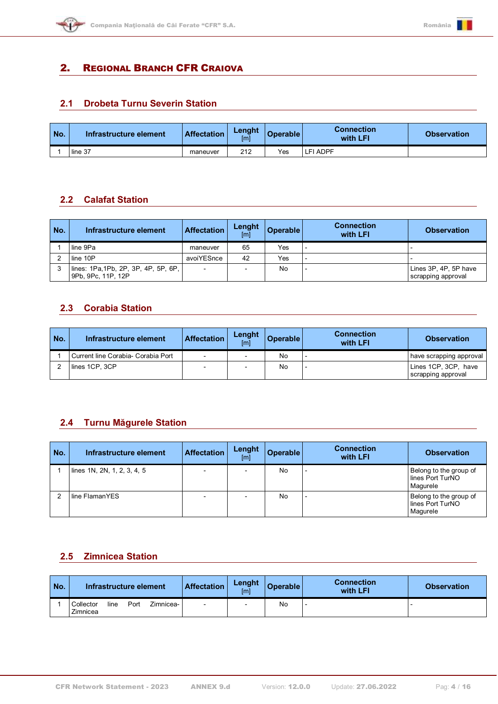

## <span id="page-3-0"></span>2. REGIONAL BRANCH CFR CRAIOVA

#### <span id="page-3-1"></span>**2.1 Drobeta Turnu Severin Station**

| No. | Infrastructure element | <b>Affectation</b> | Lenght<br>[m] | <b>Operable</b> | <b>Connection</b><br>with LFI | <b>Observation</b> |
|-----|------------------------|--------------------|---------------|-----------------|-------------------------------|--------------------|
|     | line 37                | maneuver           | 212           | Yes             | FI ADPF-                      |                    |

#### <span id="page-3-2"></span>**2.2 Calafat Station**

| No. | Infrastructure element                                     | <b>Affectation</b> | Lenght<br>[ <sub>m</sub> ] | <b>Operable</b> | <b>Connection</b><br>with LFI | <b>Observation</b>                          |
|-----|------------------------------------------------------------|--------------------|----------------------------|-----------------|-------------------------------|---------------------------------------------|
|     | line 9Pa                                                   | maneuver           | 65                         | Yes             |                               |                                             |
|     | line 10P                                                   | avoiYESnce         | 42                         | Yes             |                               |                                             |
|     | lines: 1Pa, 1Pb, 2P, 3P, 4P, 5P, 6P,<br>9Pb, 9Pc, 11P, 12P | $\overline{a}$     |                            | No              |                               | Lines 3P, 4P, 5P have<br>scrapping approval |

### <span id="page-3-3"></span>**2.3 Corabia Station**

| No. | Infrastructure element               | <b>Affectation</b>       | Lenght<br>[m] | Operable | <b>Connection</b><br>with LFI | <b>Observation</b>                         |
|-----|--------------------------------------|--------------------------|---------------|----------|-------------------------------|--------------------------------------------|
|     | l Current line Corabia- Corabia Port | $\overline{\phantom{a}}$ |               | No       |                               | have scrapping approval                    |
|     | lines 1CP, 3CP                       |                          |               | No       |                               | Lines 1CP, 3CP, have<br>scrapping approval |

## <span id="page-3-4"></span>**2.4 Turnu Măgurele Station**

| No. | Infrastructure element      | <b>Affectation</b>       | Lenght<br>[m] | <b>Operable</b> | <b>Connection</b><br>with LFI | <b>Observation</b>                                     |
|-----|-----------------------------|--------------------------|---------------|-----------------|-------------------------------|--------------------------------------------------------|
|     | lines 1N, 2N, 1, 2, 3, 4, 5 |                          |               | No              | $\overline{\phantom{a}}$      | Belong to the group of<br>lines Port TurNO<br>Magurele |
|     | l line FlamanYES            | $\overline{\phantom{a}}$ |               | No              | $\overline{\phantom{a}}$      | Belong to the group of<br>lines Port TurNO<br>Magurele |

#### <span id="page-3-5"></span>**2.5 Zimnicea Station**

| No. | Infrastructure element        |      | <b>Affectation</b> | Lenght<br>[m]            | <b>Operable</b> | <b>Connection</b><br>with LFI | <b>Observation</b> |  |
|-----|-------------------------------|------|--------------------|--------------------------|-----------------|-------------------------------|--------------------|--|
|     | Collector<br>line<br>Zimnicea | Port | Zimnicea-          | $\overline{\phantom{a}}$ | -               | No                            |                    |  |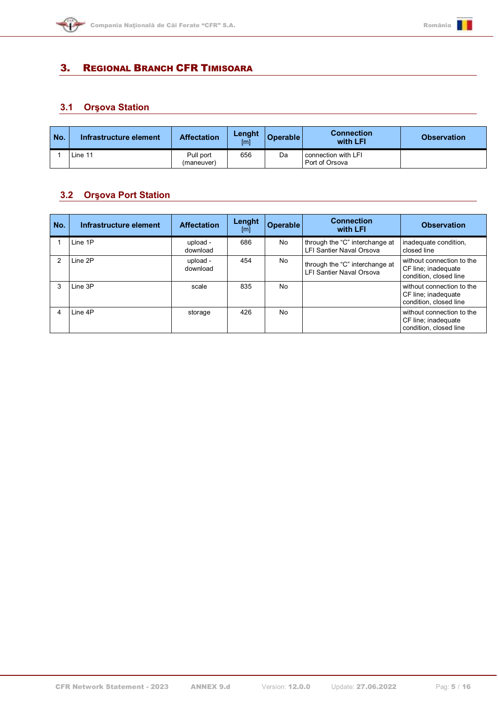

## <span id="page-4-0"></span>3. REGIONAL BRANCH CFR TIMISOARA

## <span id="page-4-1"></span>**3.1 Orşova Station**

| No. | Infrastructure element | <b>Affectation</b>      | Lenght<br>[m] | <b>Operable</b> | <b>Connection</b><br>with LFI         | <b>Observation</b> |
|-----|------------------------|-------------------------|---------------|-----------------|---------------------------------------|--------------------|
|     | Line 11                | Pull port<br>(maneuver) | 656           | Da              | connection with LFI<br>Port of Orsova |                    |

#### <span id="page-4-2"></span>**3.2 Orşova Port Station**

| No. | Infrastructure element | <b>Affectation</b>   | Lenght<br>[m] | <b>Operable</b> | <b>Connection</b><br>with LFI                              | <b>Observation</b>                                                         |
|-----|------------------------|----------------------|---------------|-----------------|------------------------------------------------------------|----------------------------------------------------------------------------|
|     | Line 1P                | upload -<br>download | 686           | No              | through the "C" interchange at<br>LFI Santier Naval Orsova | inadequate condition,<br>closed line                                       |
|     | Line 2P                | upload -<br>download | 454           | No              | through the "C" interchange at<br>LFI Santier Naval Orsova | without connection to the<br>CF line; inadequate<br>condition, closed line |
|     | Line 3P                | scale                | 835           | N <sub>o</sub>  |                                                            | without connection to the<br>CF line; inadequate<br>condition, closed line |
|     | Line 4P                | storage              | 426           | No              |                                                            | without connection to the<br>CF line; inadequate<br>condition, closed line |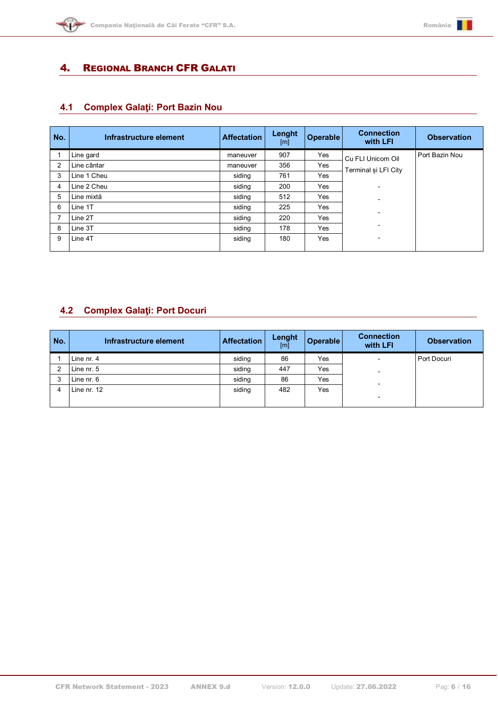

## <span id="page-5-0"></span>4. REGIONAL BRANCH CFR GALATI

## <span id="page-5-1"></span>**4.1 Complex Galaţi: Port Bazin Nou**

| No. | Infrastructure element | <b>Affectation</b> | Lenght<br>[m] | <b>Operable</b> | <b>Connection</b><br>with LFI | <b>Observation</b> |
|-----|------------------------|--------------------|---------------|-----------------|-------------------------------|--------------------|
|     | Line gard              | maneuver           | 907           | Yes             | Cu FLI Unicom Oil             | Port Bazin Nou     |
| 2   | Line cântar            | maneuver           | 356           | Yes             | Terminal si LFI City          |                    |
| 3   | Line 1 Cheu            | siding             | 761           | Yes             |                               |                    |
| 4   | Line 2 Cheu            | siding             | 200           | Yes             | $\overline{\phantom{0}}$      |                    |
| 5   | Line mixtă             | siding             | 512           | Yes             |                               |                    |
| 6   | Line 1T                | siding             | 225           | Yes             |                               |                    |
|     | Line 2T                | siding             | 220           | Yes             |                               |                    |
| 8   | Line 3T                | siding             | 178           | Yes             | -                             |                    |
| 9   | Line 4T                | siding             | 180           | Yes             | $\overline{\phantom{a}}$      |                    |
|     |                        |                    |               |                 |                               |                    |

## <span id="page-5-2"></span>**4.2 Complex Galaţi: Port Docuri**

| No. | Infrastructure element | <b>Affectation</b> | Lenght<br>[m] | Operable | <b>Connection</b><br>with LFI | <b>Observation</b> |
|-----|------------------------|--------------------|---------------|----------|-------------------------------|--------------------|
|     | Line nr. 4             | siding             | 86            | Yes      | $\overline{\phantom{0}}$      | Port Docuri        |
|     | Line nr. 5             | siding             | 447           | Yes      | $\overline{\phantom{0}}$      |                    |
| 3   | Line nr. 6             | siding             | 86            | Yes      | $\overline{\phantom{0}}$      |                    |
|     | Line nr. 12            | siding             | 482           | Yes      |                               |                    |
|     |                        |                    |               |          | $\overline{\phantom{a}}$      |                    |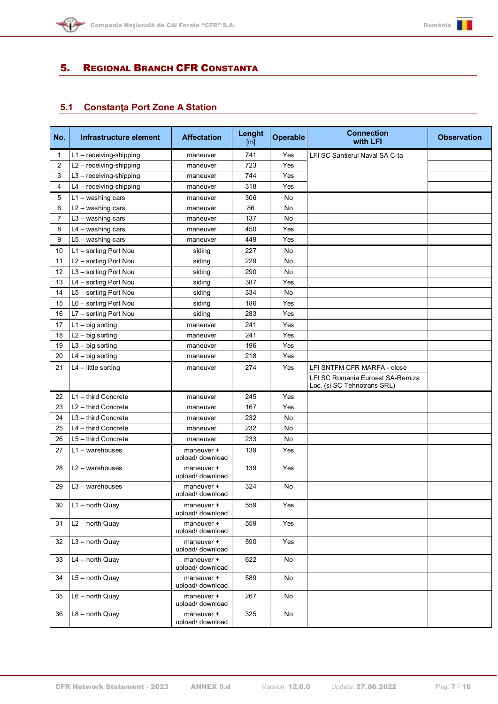

## <span id="page-6-0"></span>5. REGIONAL BRANCH CFR CONSTANTA

## <span id="page-6-1"></span>**5.1 Constanţa Port Zone A Station**

| No. | Infrastructure element    | <b>Affectation</b>             | Lenght<br>[ml] | <b>Operable</b> | <b>Connection</b><br>with LFI                                   | <b>Observation</b> |
|-----|---------------------------|--------------------------------|----------------|-----------------|-----------------------------------------------------------------|--------------------|
| 1   | L1 - receiving-shipping   | maneuver                       | 741            | Yes             | LFI SC Santierul Naval SA C-ta                                  |                    |
| 2   | L2 - receiving-shipping   | maneuver                       | 723            | Yes             |                                                                 |                    |
| 3   | $L3 - receiving-shipping$ | maneuver                       | 744            | Yes             |                                                                 |                    |
| 4   | $L4 - receiving-shipping$ | maneuver                       | 318            | Yes             |                                                                 |                    |
| 5   | $L1 -$ washing cars       | maneuver                       | 306            | No              |                                                                 |                    |
| 6   | $L2 -$ washing cars       | maneuver                       | 86             | No              |                                                                 |                    |
| 7   | $L3 -$ washing cars       | maneuver                       | 137            | No              |                                                                 |                    |
| 8   | $L4 - washing cars$       | maneuver                       | 450            | Yes             |                                                                 |                    |
| 9   | $L5 - washing cars$       | maneuver                       | 449            | Yes             |                                                                 |                    |
| 10  | L1 - sorting Port Nou     | siding                         | 227            | No              |                                                                 |                    |
| 11  | L2 - sorting Port Nou     | siding                         | 229            | No              |                                                                 |                    |
| 12  | L3 - sorting Port Nou     | siding                         | 290            | No              |                                                                 |                    |
| 13  | L4 - sorting Port Nou     | siding                         | 387            | Yes             |                                                                 |                    |
| 14  | L5 - sorting Port Nou     | siding                         | 334            | No              |                                                                 |                    |
| 15  | L6 - sorting Port Nou     | siding                         | 186            | Yes             |                                                                 |                    |
| 16  | L7 - sorting Port Nou     | siding                         | 283            | Yes             |                                                                 |                    |
| 17  | $L1 - big$ sorting        | maneuver                       | 241            | Yes             |                                                                 |                    |
| 18  | $L2 - big$ sorting        | maneuver                       | 241            | Yes             |                                                                 |                    |
| 19  | $L3 - big$ sorting        | maneuver                       | 196            | Yes             |                                                                 |                    |
| 20  | $L4 - big$ sorting        | maneuver                       | 218            | Yes             |                                                                 |                    |
| 21  | $L4$ – little sorting     | maneuver                       | 274            | Yes             | LFI SNTFM CFR MARFA - close                                     |                    |
|     |                           |                                |                |                 | LFI SC Romania Euroest SA-Remiza<br>Loc. (si SC Tehnotrans SRL) |                    |
| 22  | L1 - third Concrete       | maneuver                       | 245            | Yes             |                                                                 |                    |
| 23  | L2 - third Concrete       | maneuver                       | 167            | Yes             |                                                                 |                    |
| 24  | L3 - third Concrete       | maneuver                       | 232            | No              |                                                                 |                    |
| 25  | L4 - third Concrete       | maneuver                       | 232            | No              |                                                                 |                    |
| 26  | L5 - third Concrete       | maneuver                       | 233            | No              |                                                                 |                    |
| 27  | $L1 -$ warehouses         | maneuver +<br>upload/ download | 139            | Yes             |                                                                 |                    |
| 28  | $L2 -$ warehouses         | maneuver +<br>upload/ download | 139            | Yes             |                                                                 |                    |
| 29  | $L3 -$ warehouses         | maneuver +<br>upload/ download | 324            | No              |                                                                 |                    |
| 30  | L1 - north Quay           | maneuver +<br>upload/ download | 559            | Yes             |                                                                 |                    |
| 31  | $L2$ – north Quay         | maneuver +<br>upload/ download | 559            | Yes             |                                                                 |                    |
| 32  | $L3$ – north Quay         | maneuver +<br>upload/ download | 590            | Yes             |                                                                 |                    |
| 33  | L4 - north Quay           | maneuver +<br>upload/ download | 622            | No              |                                                                 |                    |
| 34  | L5 - north Quay           | maneuver +<br>upload/ download | 589            | No              |                                                                 |                    |
| 35  | $L6$ – north Quay         | maneuver +<br>upload/ download | 267            | No              |                                                                 |                    |
| 36  | $L8 - north$ Quay         | maneuver +<br>upload/ download | 325            | No              |                                                                 |                    |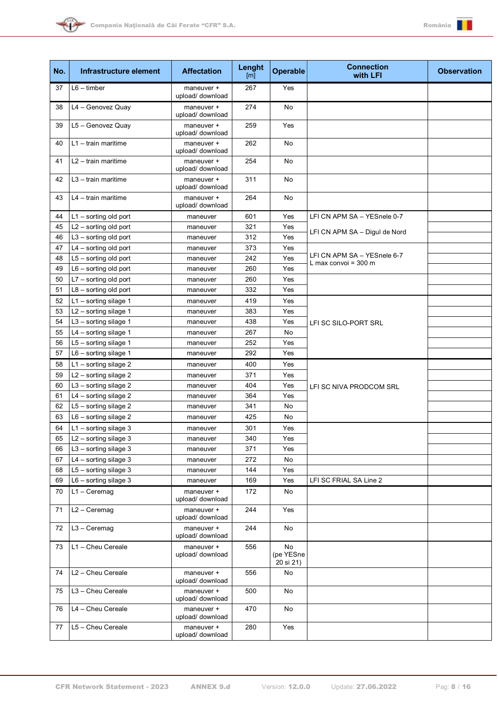



| No. | Infrastructure element  | <b>Affectation</b>             | Lenght<br>$\lceil m \rceil$ | <b>Operable</b>              | <b>Connection</b><br>with LFI | <b>Observation</b> |
|-----|-------------------------|--------------------------------|-----------------------------|------------------------------|-------------------------------|--------------------|
| 37  | $L6 -$ timber           | maneuver +<br>upload/ download | 267                         | Yes                          |                               |                    |
| 38  | L4 - Genovez Quay       | maneuver +<br>upload/ download | 274                         | No                           |                               |                    |
| 39  | L5 - Genovez Quay       | maneuver +<br>upload/ download | 259                         | Yes                          |                               |                    |
| 40  | $L1 - train$ maritime   | maneuver +<br>upload/ download | 262                         | No                           |                               |                    |
| 41  | $L2 - train$ maritime   | maneuver +<br>upload/ download | 254                         | No                           |                               |                    |
| 42  | $L3 - train$ maritime   | maneuver +<br>upload/ download | 311                         | No                           |                               |                    |
| 43  | $L4 - train$ maritime   | maneuver +<br>upload/ download | 264                         | No                           |                               |                    |
| 44  | $L1 -$ sorting old port | maneuver                       | 601                         | Yes                          | LFI CN APM SA - YESnele 0-7   |                    |
| 45  | L2 - sorting old port   | maneuver                       | 321                         | Yes                          | LFI CN APM SA - Digul de Nord |                    |
| 46  | $L3$ – sorting old port | maneuver                       | 312                         | Yes                          |                               |                    |
| 47  | L4 - sorting old port   | maneuver                       | 373                         | Yes                          |                               |                    |
| 48  | L5 - sorting old port   | maneuver                       | 242                         | Yes                          | LFI CN APM SA - YESnele 6-7   |                    |
| 49  | $L6 -$ sorting old port | maneuver                       | 260                         | Yes                          | L max convoi = $300$ m        |                    |
| 50  | L7 - sorting old port   | maneuver                       | 260                         | Yes                          |                               |                    |
| 51  | $L8 -$ sorting old port | maneuver                       | 332                         | Yes                          |                               |                    |
| 52  | $L1 -$ sorting silage 1 | maneuver                       | 419                         | Yes                          |                               |                    |
| 53  | $L2$ – sorting silage 1 | maneuver                       | 383                         | Yes                          |                               |                    |
| 54  | $L3$ – sorting silage 1 | maneuver                       | 438                         | Yes                          | LFI SC SILO-PORT SRL          |                    |
| 55  | L4 - sorting silage 1   | maneuver                       | 267                         | No                           |                               |                    |
| 56  | L5 - sorting silage 1   | maneuver                       | 252                         | Yes                          |                               |                    |
| 57  | $L6 -$ sorting silage 1 | maneuver                       | 292                         | Yes                          |                               |                    |
| 58  | $L1 -$ sorting silage 2 | maneuver                       | 400                         | Yes                          |                               |                    |
| 59  | L2 - sorting silage 2   | maneuver                       | 371                         | Yes                          |                               |                    |
| 60  | L3 - sorting silage 2   | maneuver                       | 404                         | Yes                          |                               |                    |
| 61  | $L4 -$ sorting silage 2 | maneuver                       | 364                         | Yes                          | LFI SC NIVA PRODCOM SRL       |                    |
| 62  | $L5 -$ sorting silage 2 |                                | 341                         | No                           |                               |                    |
| 63  | $L6 -$ sorting silage 2 | maneuver                       | 425                         | No                           |                               |                    |
|     |                         | maneuver                       |                             |                              |                               |                    |
| 64  | $L1 -$ sorting silage 3 | maneuver                       | 301                         | Yes                          |                               |                    |
| 65  | $L2$ – sorting silage 3 | maneuver                       | 340                         | Yes                          |                               |                    |
| 66  | L3 - sorting silage 3   | maneuver                       | 371                         | Yes                          |                               |                    |
| 67  | $L4 -$ sorting silage 3 | maneuver                       | 272                         | No                           |                               |                    |
| 68  | $L5 -$ sorting silage 3 | maneuver                       | 144                         | Yes                          | LFI SC FRIAL SA Line 2        |                    |
| 69  | $L6 -$ sorting silage 3 | maneuver                       | 169                         | Yes                          |                               |                    |
| 70  | $L1 - C$ eremag         | maneuver +<br>upload/ download | 172                         | No                           |                               |                    |
| 71  | $L2 - C$ eremag         | maneuver +<br>upload/ download | 244                         | Yes                          |                               |                    |
| 72  | $L3 - C$ eremag         | maneuver +<br>upload/ download | 244                         | No                           |                               |                    |
| 73  | L1 - Cheu Cereale       | maneuver +<br>upload/ download | 556                         | No<br>(pe YESne<br>20 si 21) |                               |                    |
| 74  | L2 - Cheu Cereale       | maneuver +<br>upload/ download | 556                         | No                           |                               |                    |
| 75  | L3 - Cheu Cereale       | maneuver +<br>upload/ download | 500                         | No                           |                               |                    |
| 76  | L4 - Cheu Cereale       | maneuver +<br>upload/ download | 470                         | No                           |                               |                    |
| 77  | L5 - Cheu Cereale       | maneuver +<br>upload/ download | 280                         | Yes                          |                               |                    |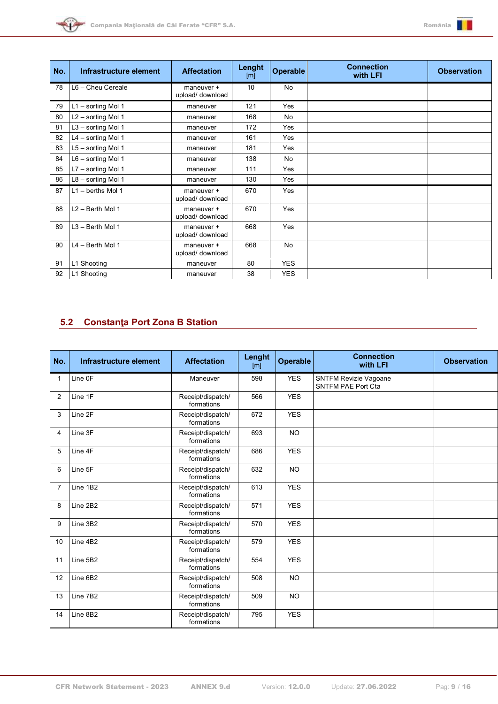



| No. | Infrastructure element     | <b>Affectation</b>             | Lenght<br>[m] | <b>Operable</b> | <b>Connection</b><br>with LFI | <b>Observation</b> |
|-----|----------------------------|--------------------------------|---------------|-----------------|-------------------------------|--------------------|
| 78  | L6 - Cheu Cereale          | maneuver +<br>upload/ download | 10            | <b>No</b>       |                               |                    |
| 79  | L1 - sorting Mol 1         | maneuver                       | 121           | Yes             |                               |                    |
| 80  | $L2$ – sorting Mol 1       | maneuver                       | 168           | No              |                               |                    |
| 81  | $L3 -$ sorting Mol 1       | maneuver                       | 172           | Yes             |                               |                    |
| 82  | $L4 -$ sorting Mol 1       | maneuver                       | 161           | Yes             |                               |                    |
| 83  | L5 - sorting Mol 1         | maneuver                       | 181           | Yes             |                               |                    |
| 84  | $L6 -$ sorting Mol 1       | maneuver                       | 138           | <b>No</b>       |                               |                    |
| 85  | $L7 -$ sorting Mol 1       | maneuver                       | 111           | Yes             |                               |                    |
| 86  | $L8 -$ sorting Mol 1       | maneuver                       | 130           | Yes             |                               |                    |
| 87  | $L1 - \text{berths Mol} 1$ | maneuver +<br>upload/ download | 670           | Yes             |                               |                    |
| 88  | L2 - Berth Mol 1           | maneuver +<br>upload/ download | 670           | Yes             |                               |                    |
| 89  | L3 - Berth Mol 1           | maneuver +<br>upload/ download | 668           | Yes             |                               |                    |
| 90  | L4 - Berth Mol 1           | maneuver +<br>upload/ download | 668           | No              |                               |                    |
| 91  | L1 Shooting                | maneuver                       | 80            | <b>YES</b>      |                               |                    |
| 92  | L1 Shooting                | maneuver                       | 38            | <b>YES</b>      |                               |                    |

## <span id="page-8-0"></span>**5.2 Constanţa Port Zona B Station**

| No.            | Infrastructure element | <b>Affectation</b>              | Lenght<br>[m] | Operable   | <b>Connection</b><br>with LFI                             | <b>Observation</b> |
|----------------|------------------------|---------------------------------|---------------|------------|-----------------------------------------------------------|--------------------|
| $\mathbf{1}$   | Line OF                | Maneuver                        | 598           | <b>YES</b> | <b>SNTFM Revizie Vagoane</b><br><b>SNTFM PAE Port Cta</b> |                    |
| 2              | Line 1F                | Receipt/dispatch/<br>formations | 566           | <b>YES</b> |                                                           |                    |
| 3              | Line 2F                | Receipt/dispatch/<br>formations | 672           | <b>YES</b> |                                                           |                    |
| 4              | Line 3F                | Receipt/dispatch/<br>formations | 693           | <b>NO</b>  |                                                           |                    |
| 5              | Line 4F                | Receipt/dispatch/<br>formations | 686           | <b>YES</b> |                                                           |                    |
| 6              | Line 5F                | Receipt/dispatch/<br>formations | 632           | <b>NO</b>  |                                                           |                    |
| $\overline{7}$ | Line 1B2               | Receipt/dispatch/<br>formations | 613           | <b>YES</b> |                                                           |                    |
| 8              | Line 2B2               | Receipt/dispatch/<br>formations | 571           | <b>YES</b> |                                                           |                    |
| 9              | Line 3B2               | Receipt/dispatch/<br>formations | 570           | <b>YES</b> |                                                           |                    |
| 10             | Line 4B2               | Receipt/dispatch/<br>formations | 579           | <b>YES</b> |                                                           |                    |
| 11             | Line 5B2               | Receipt/dispatch/<br>formations | 554           | <b>YES</b> |                                                           |                    |
| 12             | Line 6B2               | Receipt/dispatch/<br>formations | 508           | <b>NO</b>  |                                                           |                    |
| 13             | Line 7B2               | Receipt/dispatch/<br>formations | 509           | <b>NO</b>  |                                                           |                    |
| 14             | Line 8B2               | Receipt/dispatch/<br>formations | 795           | <b>YES</b> |                                                           |                    |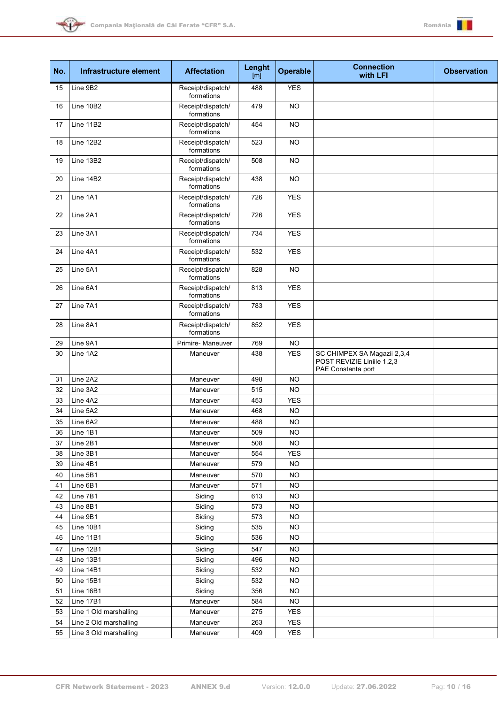



| No. | Infrastructure element | <b>Affectation</b>              | Lenght<br>[ml] | Operable   | <b>Connection</b><br>with LFI                                                   | <b>Observation</b> |
|-----|------------------------|---------------------------------|----------------|------------|---------------------------------------------------------------------------------|--------------------|
| 15  | Line 9B2               | Receipt/dispatch/<br>formations | 488            | <b>YES</b> |                                                                                 |                    |
| 16  | Line 10B2              | Receipt/dispatch/<br>formations | 479            | <b>NO</b>  |                                                                                 |                    |
| 17  | Line 11B2              | Receipt/dispatch/<br>formations | 454            | <b>NO</b>  |                                                                                 |                    |
| 18  | Line 12B2              | Receipt/dispatch/<br>formations | 523            | <b>NO</b>  |                                                                                 |                    |
| 19  | Line 13B2              | Receipt/dispatch/<br>formations | 508            | <b>NO</b>  |                                                                                 |                    |
| 20  | Line 14B2              | Receipt/dispatch/<br>formations | 438            | <b>NO</b>  |                                                                                 |                    |
| 21  | Line 1A1               | Receipt/dispatch/<br>formations | 726            | <b>YES</b> |                                                                                 |                    |
| 22  | Line 2A1               | Receipt/dispatch/<br>formations | 726            | <b>YES</b> |                                                                                 |                    |
| 23  | Line 3A1               | Receipt/dispatch/<br>formations | 734            | <b>YES</b> |                                                                                 |                    |
| 24  | Line 4A1               | Receipt/dispatch/<br>formations | 532            | <b>YES</b> |                                                                                 |                    |
| 25  | Line 5A1               | Receipt/dispatch/<br>formations | 828            | <b>NO</b>  |                                                                                 |                    |
| 26  | Line 6A1               | Receipt/dispatch/<br>formations | 813            | <b>YES</b> |                                                                                 |                    |
| 27  | Line 7A1               | Receipt/dispatch/<br>formations | 783            | <b>YES</b> |                                                                                 |                    |
| 28  | Line 8A1               | Receipt/dispatch/<br>formations | 852            | <b>YES</b> |                                                                                 |                    |
| 29  | Line 9A1               | Primire- Maneuver               | 769            | <b>NO</b>  |                                                                                 |                    |
| 30  | Line 1A2               | Maneuver                        | 438            | <b>YES</b> | SC CHIMPEX SA Magazii 2,3,4<br>POST REVIZIE Liniile 1,2,3<br>PAE Constanta port |                    |
| 31  | Line 2A2               | Maneuver                        | 498            | <b>NO</b>  |                                                                                 |                    |
| 32  | Line 3A2               | Maneuver                        | 515            | <b>NO</b>  |                                                                                 |                    |
| 33  | Line 4A2               | Maneuver                        | 453            | <b>YES</b> |                                                                                 |                    |
| 34  | Line 5A2               | Maneuver                        | 468            | <b>NO</b>  |                                                                                 |                    |
| 35  | Line 6A2               | Maneuver                        | 488            | <b>NO</b>  |                                                                                 |                    |
| 36  | Line 1B1               | Maneuver                        | 509            | NO         |                                                                                 |                    |
| 37  | Line 2B1               | Maneuver                        | 508            | NO.        |                                                                                 |                    |
| 38  | Line 3B1               | Maneuver                        | 554            | <b>YES</b> |                                                                                 |                    |
| 39  | Line 4B1               | Maneuver                        | 579            | NO.        |                                                                                 |                    |
| 40  | Line 5B1               | Maneuver                        | 570            | NO.        |                                                                                 |                    |
| 41  | Line 6B1               | Maneuver                        | 571            | NO.        |                                                                                 |                    |
| 42  | Line 7B1               | Siding                          | 613            | <b>NO</b>  |                                                                                 |                    |
| 43  | Line 8B1               | Siding                          | 573            | <b>NO</b>  |                                                                                 |                    |
| 44  | Line 9B1               | Siding                          | 573            | <b>NO</b>  |                                                                                 |                    |
| 45  | Line 10B1              | Siding                          | 535            | <b>NO</b>  |                                                                                 |                    |
| 46  | Line 11B1              | Siding                          | 536            | <b>NO</b>  |                                                                                 |                    |
| 47  | Line 12B1              | Siding                          | 547            | <b>NO</b>  |                                                                                 |                    |
| 48  | Line 13B1              | Siding                          | 496            | <b>NO</b>  |                                                                                 |                    |
| 49  | Line 14B1              | Siding                          | 532            | <b>NO</b>  |                                                                                 |                    |
| 50  | Line 15B1              | Siding                          | 532            | NO.        |                                                                                 |                    |
| 51  | Line 16B1              | Siding                          | 356            | NO.        |                                                                                 |                    |
| 52  | Line 17B1              | Maneuver                        | 584            | <b>NO</b>  |                                                                                 |                    |
| 53  | Line 1 Old marshalling | Maneuver                        | 275            | <b>YES</b> |                                                                                 |                    |
| 54  | Line 2 Old marshalling | Maneuver                        | 263            | <b>YES</b> |                                                                                 |                    |
| 55  | Line 3 Old marshalling | Maneuver                        | 409            | <b>YES</b> |                                                                                 |                    |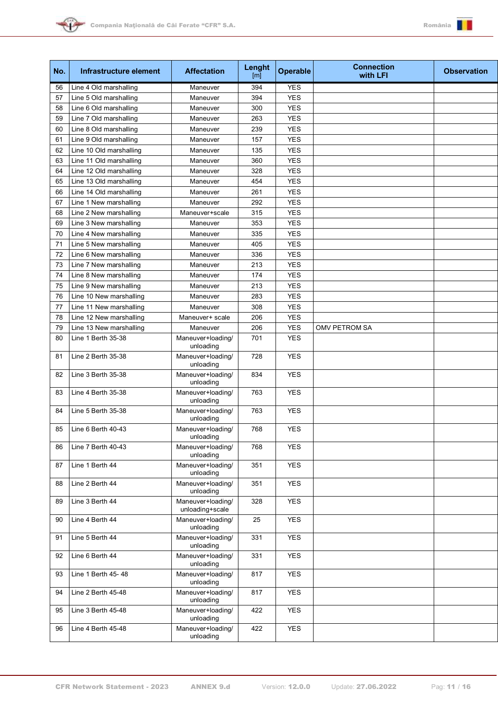



| No. | Infrastructure element  | <b>Affectation</b>                   | Lenght<br>$\lceil m \rceil$ | <b>Operable</b> | <b>Connection</b><br>with LFI | <b>Observation</b> |
|-----|-------------------------|--------------------------------------|-----------------------------|-----------------|-------------------------------|--------------------|
| 56  | Line 4 Old marshalling  | Maneuver                             | 394                         | <b>YES</b>      |                               |                    |
| 57  | Line 5 Old marshalling  | Maneuver                             | 394                         | <b>YES</b>      |                               |                    |
| 58  | Line 6 Old marshalling  | Maneuver                             | 300                         | <b>YES</b>      |                               |                    |
| 59  | Line 7 Old marshalling  | Maneuver                             | 263                         | <b>YES</b>      |                               |                    |
| 60  | Line 8 Old marshalling  | Maneuver                             | 239                         | <b>YES</b>      |                               |                    |
| 61  | Line 9 Old marshalling  | Maneuver                             | 157                         | <b>YES</b>      |                               |                    |
| 62  | Line 10 Old marshalling | Maneuver                             | 135                         | <b>YES</b>      |                               |                    |
| 63  | Line 11 Old marshalling | Maneuver                             | 360                         | <b>YES</b>      |                               |                    |
| 64  | Line 12 Old marshalling | Maneuver                             | 328                         | <b>YES</b>      |                               |                    |
| 65  | Line 13 Old marshalling | Maneuver                             | 454                         | <b>YES</b>      |                               |                    |
| 66  | Line 14 Old marshalling | Maneuver                             | 261                         | <b>YES</b>      |                               |                    |
| 67  | Line 1 New marshalling  | Maneuver                             | 292                         | <b>YES</b>      |                               |                    |
| 68  | Line 2 New marshalling  | Maneuver+scale                       | 315                         | <b>YES</b>      |                               |                    |
| 69  | Line 3 New marshalling  | Maneuver                             | 353                         | <b>YES</b>      |                               |                    |
| 70  | Line 4 New marshalling  | Maneuver                             | 335                         | <b>YES</b>      |                               |                    |
| 71  | Line 5 New marshalling  | Maneuver                             | 405                         | <b>YES</b>      |                               |                    |
| 72  | Line 6 New marshalling  | Maneuver                             | 336                         | <b>YES</b>      |                               |                    |
| 73  | Line 7 New marshalling  | Maneuver                             | 213                         | <b>YES</b>      |                               |                    |
| 74  | Line 8 New marshalling  | Maneuver                             | 174                         | <b>YES</b>      |                               |                    |
| 75  | Line 9 New marshalling  | Maneuver                             | 213                         | <b>YES</b>      |                               |                    |
| 76  | Line 10 New marshalling | Maneuver                             | 283                         | <b>YES</b>      |                               |                    |
| 77  | Line 11 New marshalling | Maneuver                             | 308                         | <b>YES</b>      |                               |                    |
| 78  | Line 12 New marshalling | Maneuver+ scale                      | 206                         | <b>YES</b>      |                               |                    |
| 79  | Line 13 New marshalling | Maneuver                             | 206                         | <b>YES</b>      | OMV PETROM SA                 |                    |
| 80  | Line 1 Berth 35-38      | Maneuver+loading/<br>unloading       | 701                         | <b>YES</b>      |                               |                    |
| 81  | Line 2 Berth 35-38      | Maneuver+loading/<br>unloading       | 728                         | <b>YES</b>      |                               |                    |
| 82  | Line 3 Berth 35-38      | Maneuver+loading/<br>unloading       | 834                         | <b>YES</b>      |                               |                    |
| 83  | Line 4 Berth 35-38      | Maneuver+loading/<br>unloading       | 763                         | <b>YES</b>      |                               |                    |
| 84  | Line 5 Berth 35-38      | Maneuver+loading/<br>unloading       | 763                         | <b>YES</b>      |                               |                    |
| 85  | Line $6$ Berth 40-43    | Maneuver+loading/<br>unloading       | 768                         | <b>YES</b>      |                               |                    |
| 86  | Line 7 Berth 40-43      | Maneuver+loading/<br>unloading       | 768                         | <b>YES</b>      |                               |                    |
| 87  | Line 1 Berth 44         | Maneuver+loading/<br>unloading       | 351                         | <b>YES</b>      |                               |                    |
| 88  | Line 2 Berth 44         | Maneuver+loading/<br>unloading       | 351                         | <b>YES</b>      |                               |                    |
| 89  | Line 3 Berth 44         | Maneuver+loading/<br>unloading+scale | 328                         | <b>YES</b>      |                               |                    |
| 90  | Line 4 Berth 44         | Maneuver+loading/<br>unloading       | 25                          | <b>YES</b>      |                               |                    |
| 91  | Line 5 Berth 44         | Maneuver+loading/<br>unloading       | 331                         | <b>YES</b>      |                               |                    |
| 92  | Line 6 Berth 44         | Maneuver+loading/<br>unloading       | 331                         | <b>YES</b>      |                               |                    |
| 93  | Line 1 Berth 45-48      | Maneuver+loading/<br>unloading       | 817                         | <b>YES</b>      |                               |                    |
| 94  | Line 2 Berth 45-48      | Maneuver+loading/<br>unloading       | 817                         | <b>YES</b>      |                               |                    |
| 95  | Line 3 Berth 45-48      | Maneuver+loading/<br>unloading       | 422                         | <b>YES</b>      |                               |                    |
| 96  | Line 4 Berth 45-48      | Maneuver+loading/<br>unloading       | 422                         | <b>YES</b>      |                               |                    |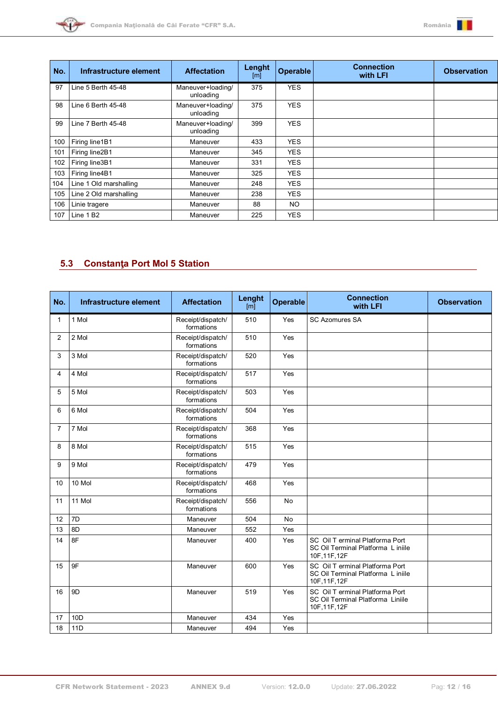



| No. | Infrastructure element | <b>Affectation</b>             | Lenght<br>[m] | <b>Operable</b> | <b>Connection</b><br>with LFI | <b>Observation</b> |
|-----|------------------------|--------------------------------|---------------|-----------------|-------------------------------|--------------------|
| 97  | Line 5 Berth 45-48     | Maneuver+loading/<br>unloading | 375           | <b>YES</b>      |                               |                    |
| 98  | Line 6 Berth 45-48     | Maneuver+loading/<br>unloading | 375           | <b>YES</b>      |                               |                    |
| 99  | Line 7 Berth 45-48     | Maneuver+loading/<br>unloading | 399           | <b>YES</b>      |                               |                    |
| 100 | Firing line1B1         | Maneuver                       | 433           | <b>YES</b>      |                               |                    |
| 101 | Firing line2B1         | Maneuver                       | 345           | <b>YES</b>      |                               |                    |
| 102 | Firing line3B1         | Maneuver                       | 331           | <b>YES</b>      |                               |                    |
| 103 | Firing line4B1         | Maneuver                       | 325           | <b>YES</b>      |                               |                    |
| 104 | Line 1 Old marshalling | Maneuver                       | 248           | <b>YES</b>      |                               |                    |
| 105 | Line 2 Old marshalling | Maneuver                       | 238           | <b>YES</b>      |                               |                    |
| 106 | Linie tragere          | Maneuver                       | 88            | NO.             |                               |                    |
| 107 | Line 1 B <sub>2</sub>  | Maneuver                       | 225           | <b>YES</b>      |                               |                    |

## <span id="page-11-0"></span>**5.3 Constanţa Port Mol 5 Station**

| No.          | Infrastructure element | <b>Affectation</b>              | Lenght<br>[ <sub>m</sub> ] | <b>Operable</b> | <b>Connection</b><br>with LFI                                                          | <b>Observation</b> |
|--------------|------------------------|---------------------------------|----------------------------|-----------------|----------------------------------------------------------------------------------------|--------------------|
| $\mathbf{1}$ | 1 Mol                  | Receipt/dispatch/<br>formations | 510                        | Yes             | <b>SC Azomures SA</b>                                                                  |                    |
| 2            | 2 Mol                  | Receipt/dispatch/<br>formations | 510                        | Yes             |                                                                                        |                    |
| 3            | 3 Mol                  | Receipt/dispatch/<br>formations | 520                        | Yes             |                                                                                        |                    |
| 4            | 4 Mol                  | Receipt/dispatch/<br>formations | 517                        | Yes             |                                                                                        |                    |
| 5            | 5 Mol                  | Receipt/dispatch/<br>formations | 503                        | Yes             |                                                                                        |                    |
| 6            | 6 Mol                  | Receipt/dispatch/<br>formations | 504                        | Yes             |                                                                                        |                    |
| 7            | 7 Mol                  | Receipt/dispatch/<br>formations | 368                        | Yes             |                                                                                        |                    |
| 8            | 8 Mol                  | Receipt/dispatch/<br>formations | 515                        | Yes             |                                                                                        |                    |
| 9            | 9 Mol                  | Receipt/dispatch/<br>formations | 479                        | Yes             |                                                                                        |                    |
| 10           | 10 Mol                 | Receipt/dispatch/<br>formations | 468                        | Yes             |                                                                                        |                    |
| 11           | 11 Mol                 | Receipt/dispatch/<br>formations | 556                        | <b>No</b>       |                                                                                        |                    |
| 12           | 7D                     | Maneuver                        | 504                        | <b>No</b>       |                                                                                        |                    |
| 13           | 8D                     | Maneuver                        | 552                        | Yes             |                                                                                        |                    |
| 14           | 8F                     | Maneuver                        | 400                        | Yes             | SC Oil T erminal Platforma Port<br>SC Oil Terminal Platforma L iniile<br>10F, 11F, 12F |                    |
| 15           | 9F                     | Maneuver                        | 600                        | Yes             | SC Oil T erminal Platforma Port<br>SC Oil Terminal Platforma L iniile<br>10F, 11F, 12F |                    |
| 16           | 9 <sub>D</sub>         | Maneuver                        | 519                        | Yes             | SC Oil T erminal Platforma Port<br>SC Oil Terminal Platforma Liniile<br>10F, 11F, 12F  |                    |
| 17           | 10 <sub>D</sub>        | Maneuver                        | 434                        | Yes             |                                                                                        |                    |
| 18           | <b>11D</b>             | Maneuver                        | 494                        | Yes             |                                                                                        |                    |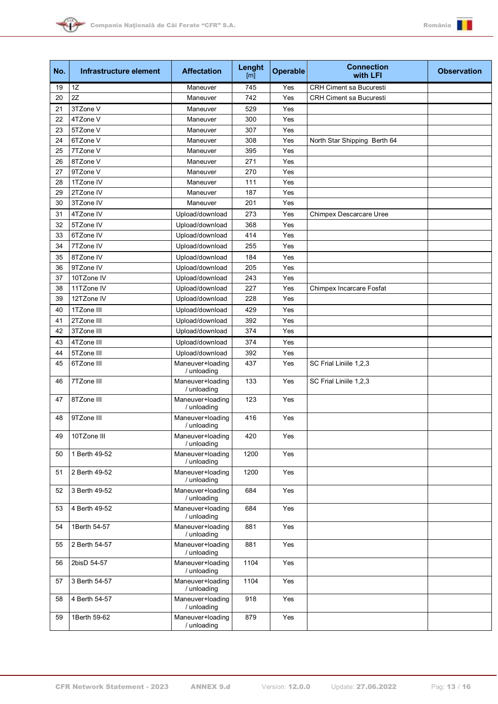



| No. | Infrastructure element | <b>Affectation</b>              | Lenght<br>[m] | <b>Operable</b> | <b>Connection</b><br>with LFI  | <b>Observation</b> |
|-----|------------------------|---------------------------------|---------------|-----------------|--------------------------------|--------------------|
| 19  | 1Z                     | Maneuver                        | 745           | Yes             | <b>CRH Ciment sa Bucuresti</b> |                    |
| 20  | 2Z                     | Maneuver                        | 742           | Yes             | <b>CRH Ciment sa Bucuresti</b> |                    |
| 21  | 3TZone V               | Maneuver                        | 529           | Yes             |                                |                    |
| 22  | 4TZone V               | Maneuver                        | 300           | Yes             |                                |                    |
| 23  | 5TZone V               | Maneuver                        | 307           | Yes             |                                |                    |
| 24  | 6TZone V               | Maneuver                        | 308           | Yes             | North Star Shipping Berth 64   |                    |
| 25  | 7TZone V               | Maneuver                        | 395           | Yes             |                                |                    |
| 26  | 8TZone V               | Maneuver                        | 271           | Yes             |                                |                    |
| 27  | 9TZone V               | Maneuver                        | 270           | Yes             |                                |                    |
| 28  | 1TZone IV              | Maneuver                        | 111           | Yes             |                                |                    |
| 29  | 2TZone IV              | Maneuver                        | 187           | Yes             |                                |                    |
| 30  | 3TZone IV              | Maneuver                        | 201           | Yes             |                                |                    |
| 31  | 4TZone IV              | Upload/download                 | 273           | Yes             | <b>Chimpex Descarcare Uree</b> |                    |
| 32  | 5TZone IV              | Upload/download                 | 368           | Yes             |                                |                    |
| 33  | 6TZone IV              | Upload/download                 | 414           | Yes             |                                |                    |
| 34  | 7TZone IV              | Upload/download                 | 255           | Yes             |                                |                    |
| 35  | 8TZone IV              | Upload/download                 | 184           | Yes             |                                |                    |
| 36  | 9TZone IV              | Upload/download                 | 205           | Yes             |                                |                    |
| 37  | 10TZone IV             | Upload/download                 | 243           | Yes             |                                |                    |
| 38  | 11TZone IV             | Upload/download                 | 227           | Yes             | Chimpex Incarcare Fosfat       |                    |
| 39  | 12TZone IV             | Upload/download                 | 228           | Yes             |                                |                    |
| 40  | 1TZone III             | Upload/download                 | 429           | Yes             |                                |                    |
| 41  | 2TZone III             | Upload/download                 | 392           | Yes             |                                |                    |
| 42  | 3TZone III             | Upload/download                 | 374           | Yes             |                                |                    |
| 43  | 4TZone III             | Upload/download                 | 374           | Yes             |                                |                    |
| 44  | 5TZone III             | Upload/download                 | 392           | Yes             |                                |                    |
| 45  | 6TZone III             | Maneuver+loading<br>/ unloading | 437           | Yes             | SC Frial Liniile 1,2,3         |                    |
| 46  | 7TZone III             | Maneuver+loading<br>/ unloading | 133           | Yes             | SC Frial Liniile 1,2,3         |                    |
| 47  | 8TZone III             | Maneuver+loading<br>/ unloading | 123           | Yes             |                                |                    |
| 48  | 9TZone III             | Maneuver+loading<br>/ unloading | 416           | Yes             |                                |                    |
| 49  | 10TZone III            | Maneuver+loading<br>/ unloading | 420           | Yes             |                                |                    |
| 50  | 1 Berth 49-52          | Maneuver+loading<br>/ unloading | 1200          | Yes             |                                |                    |
| 51  | 2 Berth 49-52          | Maneuver+loading<br>/ unloading | 1200          | Yes             |                                |                    |
| 52  | 3 Berth 49-52          | Maneuver+loading<br>/ unloading | 684           | Yes             |                                |                    |
| 53  | 4 Berth 49-52          | Maneuver+loading<br>/ unloading | 684           | Yes             |                                |                    |
| 54  | 1Berth 54-57           | Maneuver+loading<br>/ unloading | 881           | Yes             |                                |                    |
| 55  | 2 Berth 54-57          | Maneuver+loading<br>/ unloading | 881           | Yes             |                                |                    |
| 56  | 2bisD 54-57            | Maneuver+loading<br>/ unloading | 1104          | Yes             |                                |                    |
| 57  | 3 Berth 54-57          | Maneuver+loading<br>/ unloading | 1104          | Yes             |                                |                    |
| 58  | 4 Berth 54-57          | Maneuver+loading<br>/ unloading | 918           | Yes             |                                |                    |
| 59  | 1Berth 59-62           | Maneuver+loading<br>/ unloading | 879           | Yes             |                                |                    |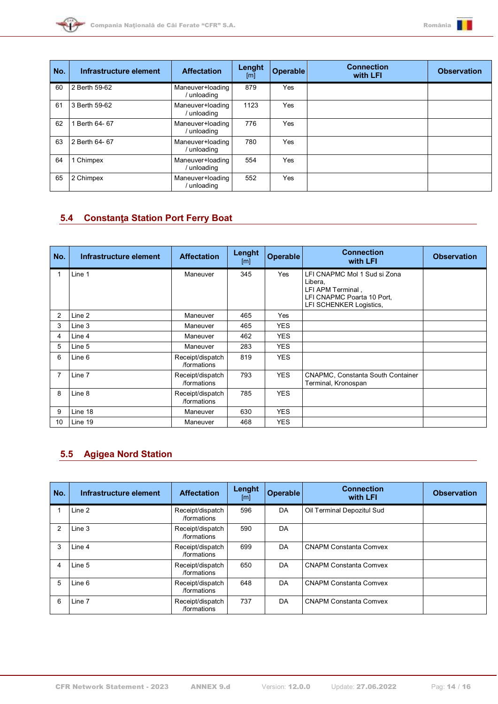



| No. | Infrastructure element | <b>Affectation</b>            | Lenght<br>[m] | Operable | <b>Connection</b><br>with LFI | <b>Observation</b> |
|-----|------------------------|-------------------------------|---------------|----------|-------------------------------|--------------------|
| 60  | 2 Berth 59-62          | Maneuver+loading<br>unloading | 879           | Yes      |                               |                    |
| 61  | 3 Berth 59-62          | Maneuver+loading<br>unloading | 1123          | Yes      |                               |                    |
| 62  | Berth 64-67            | Maneuver+loading<br>unloading | 776           | Yes      |                               |                    |
| 63  | 2 Berth 64- 67         | Maneuver+loading<br>unloading | 780           | Yes      |                               |                    |
| 64  | Chimpex                | Maneuver+loading<br>unloading | 554           | Yes      |                               |                    |
| 65  | 2 Chimpex              | Maneuver+loading<br>unloading | 552           | Yes      |                               |                    |

## <span id="page-13-0"></span>**5.4 Constanţa Station Port Ferry Boat**

| No.            | Infrastructure element | <b>Affectation</b>              | Lenght<br>[m] | <b>Operable</b> | <b>Connection</b><br>with LFI                                                                                         | <b>Observation</b> |
|----------------|------------------------|---------------------------------|---------------|-----------------|-----------------------------------------------------------------------------------------------------------------------|--------------------|
|                | Line 1                 | Maneuver                        | 345           | Yes             | LFI CNAPMC Mol 1 Sud si Zona<br>Libera,<br>LFI APM Terminal,<br>LFI CNAPMC Poarta 10 Port,<br>LFI SCHENKER Logistics, |                    |
| $\overline{2}$ | Line 2                 | Maneuver                        | 465           | Yes             |                                                                                                                       |                    |
| 3              | Line 3                 | Maneuver                        | 465           | <b>YES</b>      |                                                                                                                       |                    |
| 4              | Line 4                 | Maneuver                        | 462           | <b>YES</b>      |                                                                                                                       |                    |
| 5              | Line 5                 | Maneuver                        | 283           | <b>YES</b>      |                                                                                                                       |                    |
| 6              | Line 6                 | Receipt/dispatch<br>/formations | 819           | <b>YES</b>      |                                                                                                                       |                    |
| 7              | Line 7                 | Receipt/dispatch<br>/formations | 793           | <b>YES</b>      | <b>CNAPMC, Constanta South Container</b><br>Terminal, Kronospan                                                       |                    |
| 8              | Line 8                 | Receipt/dispatch<br>/formations | 785           | <b>YES</b>      |                                                                                                                       |                    |
| 9              | Line 18                | Maneuver                        | 630           | <b>YES</b>      |                                                                                                                       |                    |
| 10             | Line 19                | Maneuver                        | 468           | <b>YES</b>      |                                                                                                                       |                    |

## <span id="page-13-1"></span>**5.5 Agigea Nord Station**

| No. | Infrastructure element | <b>Affectation</b>              | Lenght<br>[m] | <b>Operable</b> | <b>Connection</b><br>with LFI | <b>Observation</b> |
|-----|------------------------|---------------------------------|---------------|-----------------|-------------------------------|--------------------|
|     | Line 2                 | Receipt/dispatch<br>/formations | 596           | DA              | Oil Terminal Depozitul Sud    |                    |
| 2   | Line 3                 | Receipt/dispatch<br>/formations | 590           | DA              |                               |                    |
| 3   | Line 4                 | Receipt/dispatch<br>/formations | 699           | DA              | <b>CNAPM Constanta Comvex</b> |                    |
| 4   | Line 5                 | Receipt/dispatch<br>/formations | 650           | DA              | <b>CNAPM Constanta Comvex</b> |                    |
| 5   | Line 6                 | Receipt/dispatch<br>/formations | 648           | DA              | <b>CNAPM Constanta Comvex</b> |                    |
| 6   | Line 7                 | Receipt/dispatch<br>/formations | 737           | DA              | <b>CNAPM Constanta Comvex</b> |                    |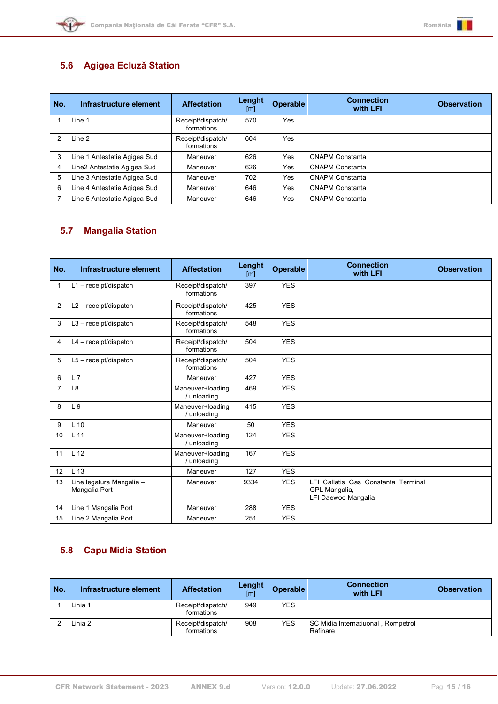



## <span id="page-14-0"></span>**5.6 Agigea Ecluză Station**

| No. | Infrastructure element       | <b>Affectation</b>              | Lenght<br>[m] | Operable | <b>Connection</b><br>with LFI | <b>Observation</b> |
|-----|------------------------------|---------------------------------|---------------|----------|-------------------------------|--------------------|
|     | Line 1                       | Receipt/dispatch/<br>formations | 570           | Yes      |                               |                    |
| 2   | Line 2                       | Receipt/dispatch/<br>formations | 604           | Yes      |                               |                    |
| 3   | Line 1 Antestatie Agigea Sud | Maneuver                        | 626           | Yes      | <b>CNAPM Constanta</b>        |                    |
|     | Line2 Antestatie Agigea Sud  | Maneuver                        | 626           | Yes      | <b>CNAPM Constanta</b>        |                    |
| 5   | Line 3 Antestatie Agigea Sud | Maneuver                        | 702           | Yes      | <b>CNAPM Constanta</b>        |                    |
| 6   | Line 4 Antestatie Agigea Sud | Maneuver                        | 646           | Yes      | <b>CNAPM Constanta</b>        |                    |
|     | Line 5 Antestatie Agigea Sud | Maneuver                        | 646           | Yes      | <b>CNAPM Constanta</b>        |                    |

## <span id="page-14-1"></span>**5.7 Mangalia Station**

| No.            | Infrastructure element                    | <b>Affectation</b>              | Lenght<br>$\lceil m \rceil$ | <b>Operable</b> | <b>Connection</b><br>with LFI                                               | <b>Observation</b> |
|----------------|-------------------------------------------|---------------------------------|-----------------------------|-----------------|-----------------------------------------------------------------------------|--------------------|
| $\mathbf 1$    | $L1 - \text{receiver/dispatch}$           | Receipt/dispatch/<br>formations | 397                         | <b>YES</b>      |                                                                             |                    |
| $\overline{2}$ | $L2 - \text{receiver/dispatch}$           | Receipt/dispatch/<br>formations | 425                         | <b>YES</b>      |                                                                             |                    |
| 3              | $L3 - \text{receiver/dispatch}$           | Receipt/dispatch/<br>formations | 548                         | <b>YES</b>      |                                                                             |                    |
| 4              | $L4 - received$ ispatch                   | Receipt/dispatch/<br>formations | 504                         | <b>YES</b>      |                                                                             |                    |
| 5              | $L5 -^\text{receipt/dispatch}$            | Receipt/dispatch/<br>formations | 504                         | <b>YES</b>      |                                                                             |                    |
| 6              | L7                                        | Maneuver                        | 427                         | <b>YES</b>      |                                                                             |                    |
| $\overline{7}$ | L8                                        | Maneuver+loading<br>/ unloading | 469                         | <b>YES</b>      |                                                                             |                    |
| 8              | L <sub>9</sub>                            | Maneuver+loading<br>/ unloading | 415                         | <b>YES</b>      |                                                                             |                    |
| 9              | $L$ 10                                    | Maneuver                        | 50                          | <b>YES</b>      |                                                                             |                    |
| 10             | L <sub>11</sub>                           | Maneuver+loading<br>/ unloading | 124                         | <b>YES</b>      |                                                                             |                    |
| 11             | L <sub>12</sub>                           | Maneuver+loading<br>/ unloading | 167                         | <b>YES</b>      |                                                                             |                    |
| 12             | L 13                                      | Maneuver                        | 127                         | <b>YES</b>      |                                                                             |                    |
| 13             | Line legatura Mangalia -<br>Mangalia Port | Maneuver                        | 9334                        | <b>YES</b>      | LFI Callatis Gas Constanta Terminal<br>GPL Mangalia,<br>LFI Daewoo Mangalia |                    |
| 14             | Line 1 Mangalia Port                      | Maneuver                        | 288                         | <b>YES</b>      |                                                                             |                    |
| 15             | Line 2 Mangalia Port                      | Maneuver                        | 251                         | <b>YES</b>      |                                                                             |                    |

## <span id="page-14-2"></span>**5.8 Capu Midia Station**

| No. | Infrastructure element | <b>Affectation</b>              | Lenght<br>[m] | Operable   | <b>Connection</b><br>with LFI                  | <b>Observation</b> |
|-----|------------------------|---------------------------------|---------------|------------|------------------------------------------------|--------------------|
|     | Linia 1                | Receipt/dispatch/<br>formations | 949           | <b>YES</b> |                                                |                    |
|     | Linia 2                | Receipt/dispatch/<br>formations | 908           | <b>YES</b> | SC Midia Internatiuonal, Rompetrol<br>Rafinare |                    |